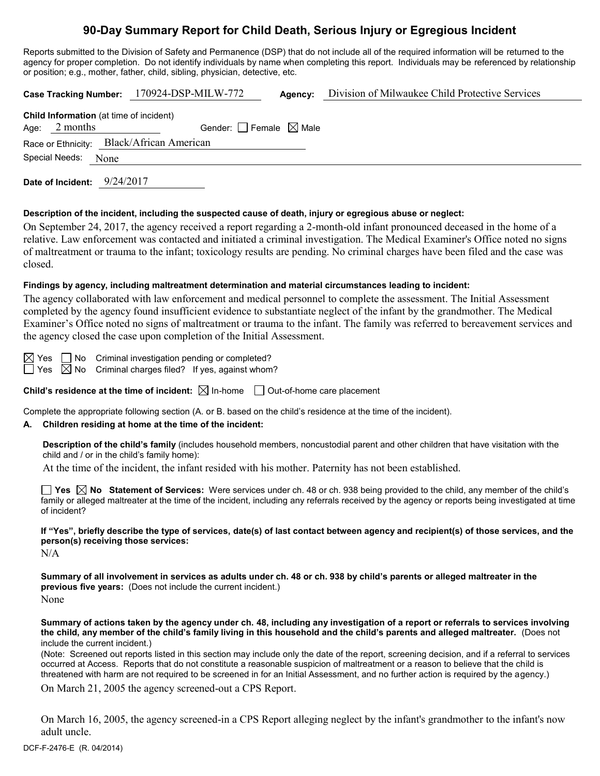# **90-Day Summary Report for Child Death, Serious Injury or Egregious Incident**

Reports submitted to the Division of Safety and Permanence (DSP) that do not include all of the required information will be returned to the agency for proper completion. Do not identify individuals by name when completing this report. Individuals may be referenced by relationship or position; e.g., mother, father, child, sibling, physician, detective, etc.

|                                                                  |                                                                   |  |  | Case Tracking Number: 170924-DSP-MILW-772 | Agency:                         | Division of Milwaukee Child Protective Services |  |  |
|------------------------------------------------------------------|-------------------------------------------------------------------|--|--|-------------------------------------------|---------------------------------|-------------------------------------------------|--|--|
|                                                                  | <b>Child Information</b> (at time of incident)<br>Age: $2$ months |  |  |                                           | Gender: Female $\boxtimes$ Male |                                                 |  |  |
| Race or Ethnicity: Black/African American<br>Special Needs: None |                                                                   |  |  |                                           |                                 |                                                 |  |  |
|                                                                  |                                                                   |  |  |                                           |                                 |                                                 |  |  |

**Date of Incident:** 9/24/2017

#### **Description of the incident, including the suspected cause of death, injury or egregious abuse or neglect:**

On September 24, 2017, the agency received a report regarding a 2-month-old infant pronounced deceased in the home of a relative. Law enforcement was contacted and initiated a criminal investigation. The Medical Examiner's Office noted no signs of maltreatment or trauma to the infant; toxicology results are pending. No criminal charges have been filed and the case was closed.

## **Findings by agency, including maltreatment determination and material circumstances leading to incident:**

The agency collaborated with law enforcement and medical personnel to complete the assessment. The Initial Assessment completed by the agency found insufficient evidence to substantiate neglect of the infant by the grandmother. The Medical Examiner's Office noted no signs of maltreatment or trauma to the infant. The family was referred to bereavement services and the agency closed the case upon completion of the Initial Assessment.

 $\boxtimes$  Yes  $\Box$  No Criminal investigation pending or completed?

 $\Box$  Yes  $\boxtimes$  No Criminal charges filed? If yes, against whom?

**Child's residence at the time of incident:**  $\boxtimes$  In-home  $\Box$  Out-of-home care placement

Complete the appropriate following section (A. or B. based on the child's residence at the time of the incident).

## **A. Children residing at home at the time of the incident:**

**Description of the child's family** (includes household members, noncustodial parent and other children that have visitation with the child and / or in the child's family home):

At the time of the incident, the infant resided with his mother. Paternity has not been established.

■ Yes △ No Statement of Services: Were services under ch. 48 or ch. 938 being provided to the child, any member of the child's family or alleged maltreater at the time of the incident, including any referrals received by the agency or reports being investigated at time of incident?

**If "Yes", briefly describe the type of services, date(s) of last contact between agency and recipient(s) of those services, and the person(s) receiving those services:**

N/A

**Summary of all involvement in services as adults under ch. 48 or ch. 938 by child's parents or alleged maltreater in the previous five years:** (Does not include the current incident.) None

**Summary of actions taken by the agency under ch. 48, including any investigation of a report or referrals to services involving the child, any member of the child's family living in this household and the child's parents and alleged maltreater.** (Does not include the current incident.)

(Note: Screened out reports listed in this section may include only the date of the report, screening decision, and if a referral to services occurred at Access. Reports that do not constitute a reasonable suspicion of maltreatment or a reason to believe that the child is threatened with harm are not required to be screened in for an Initial Assessment, and no further action is required by the agency.)

On March 21, 2005 the agency screened-out a CPS Report.

On March 16, 2005, the agency screened-in a CPS Report alleging neglect by the infant's grandmother to the infant's now adult uncle.